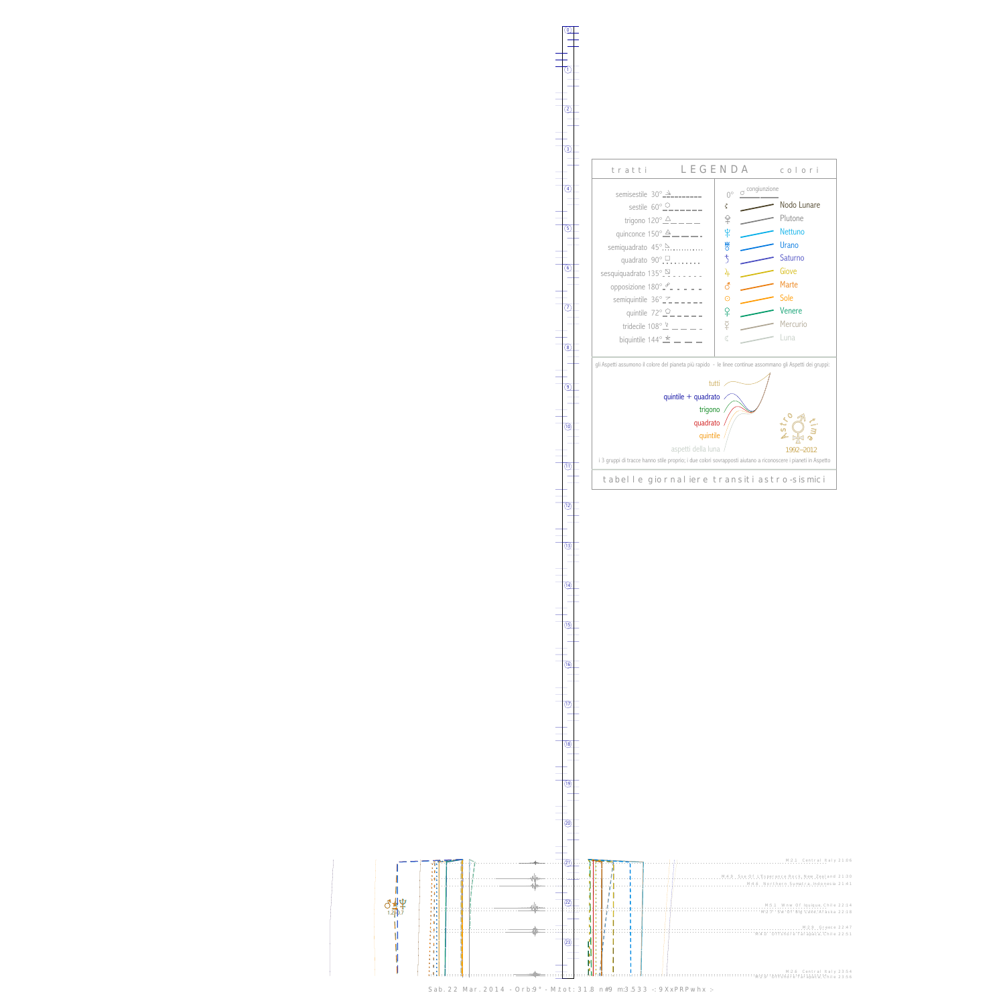$\begin{array}{c}\n\frac{1}{\sqrt{2}} \\
\frac{1}{\sqrt{2}} \\
\frac{1}{\sqrt{2}} \\
\frac{1}{\sqrt{2}} \\
\frac{1}{\sqrt{2}} \\
\frac{1}{\sqrt{2}} \\
\frac{1}{\sqrt{2}} \\
\frac{1}{\sqrt{2}} \\
\frac{1}{\sqrt{2}} \\
\frac{1}{\sqrt{2}} \\
\frac{1}{\sqrt{2}} \\
\frac{1}{\sqrt{2}} \\
\frac{1}{\sqrt{2}} \\
\frac{1}{\sqrt{2}} \\
\frac{1}{\sqrt{2}} \\
\frac{1}{\sqrt{2}} \\
\frac{1}{\sqrt{2}} \\
\frac{1}{\sqrt{2}} \\
\frac{1}{\sqrt{2}} \\
\frac{$